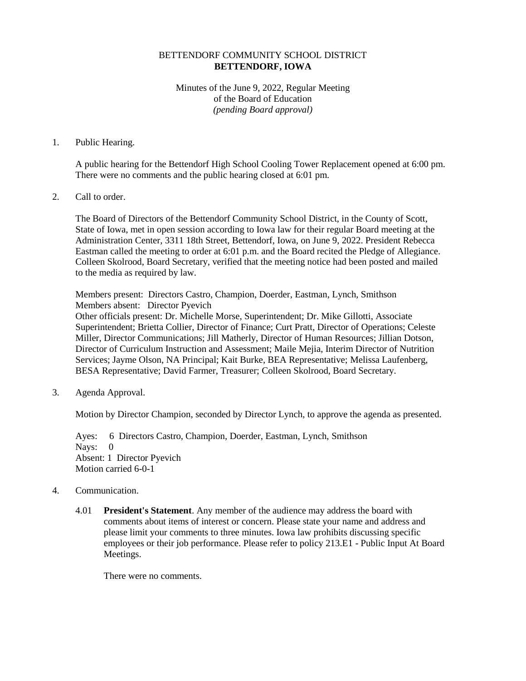## BETTENDORF COMMUNITY SCHOOL DISTRICT **BETTENDORF, IOWA**

Minutes of the June 9, 2022, Regular Meeting of the Board of Education *(pending Board approval)*

## 1. Public Hearing.

A public hearing for the Bettendorf High School Cooling Tower Replacement opened at 6:00 pm. There were no comments and the public hearing closed at 6:01 pm.

## 2. Call to order.

The Board of Directors of the Bettendorf Community School District, in the County of Scott, State of Iowa, met in open session according to Iowa law for their regular Board meeting at the Administration Center, 3311 18th Street, Bettendorf, Iowa, on June 9, 2022. President Rebecca Eastman called the meeting to order at 6:01 p.m. and the Board recited the Pledge of Allegiance. Colleen Skolrood, Board Secretary, verified that the meeting notice had been posted and mailed to the media as required by law.

Members present: Directors Castro, Champion, Doerder, Eastman, Lynch, Smithson Members absent: Director Pyevich

Other officials present: Dr. Michelle Morse, Superintendent; Dr. Mike Gillotti, Associate Superintendent; Brietta Collier, Director of Finance; Curt Pratt, Director of Operations; Celeste Miller, Director Communications; Jill Matherly, Director of Human Resources; Jillian Dotson, Director of Curriculum Instruction and Assessment; Maile Mejia, Interim Director of Nutrition Services; Jayme Olson, NA Principal; Kait Burke, BEA Representative; Melissa Laufenberg, BESA Representative; David Farmer, Treasurer; Colleen Skolrood, Board Secretary.

3. Agenda Approval.

Motion by Director Champion, seconded by Director Lynch, to approve the agenda as presented.

Ayes: 6 Directors Castro, Champion, Doerder, Eastman, Lynch, Smithson Nays: 0 Absent: 1 Director Pyevich Motion carried 6-0-1

## 4. Communication.

4.01 **President's Statement**. Any member of the audience may address the board with comments about items of interest or concern. Please state your name and address and please limit your comments to three minutes. Iowa law prohibits discussing specific employees or their job performance. Please refer to policy 213.E1 - Public Input At Board Meetings.

There were no comments.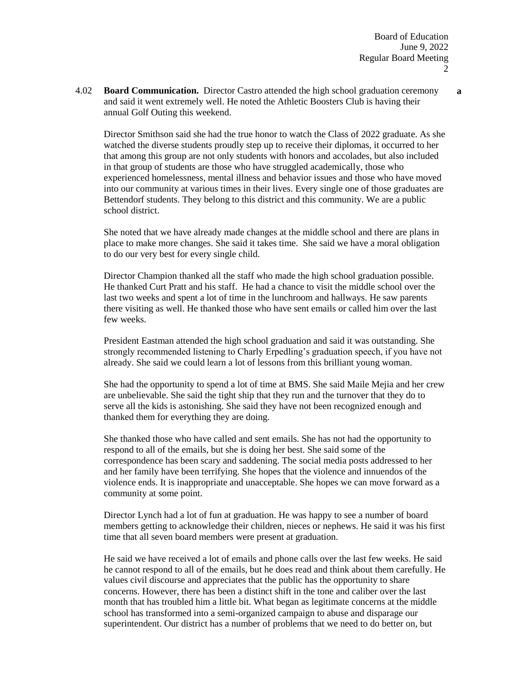4.02 **Board Communication.** Director Castro attended the high school graduation ceremony and said it went extremely well. He noted the Athletic Boosters Club is having their annual Golf Outing this weekend.

Director Smithson said she had the true honor to watch the Class of 2022 graduate. As she watched the diverse students proudly step up to receive their diplomas, it occurred to her that among this group are not only students with honors and accolades, but also included in that group of students are those who have struggled academically, those who experienced homelessness, mental illness and behavior issues and those who have moved into our community at various times in their lives. Every single one of those graduates are Bettendorf students. They belong to this district and this community. We are a public school district.

She noted that we have already made changes at the middle school and there are plans in place to make more changes. She said it takes time. She said we have a moral obligation to do our very best for every single child.

Director Champion thanked all the staff who made the high school graduation possible. He thanked Curt Pratt and his staff. He had a chance to visit the middle school over the last two weeks and spent a lot of time in the lunchroom and hallways. He saw parents there visiting as well. He thanked those who have sent emails or called him over the last few weeks.

President Eastman attended the high school graduation and said it was outstanding. She strongly recommended listening to Charly Erpedling's graduation speech, if you have not already. She said we could learn a lot of lessons from this brilliant young woman.

She had the opportunity to spend a lot of time at BMS. She said Maile Mejia and her crew are unbelievable. She said the tight ship that they run and the turnover that they do to serve all the kids is astonishing. She said they have not been recognized enough and thanked them for everything they are doing.

She thanked those who have called and sent emails. She has not had the opportunity to respond to all of the emails, but she is doing her best. She said some of the correspondence has been scary and saddening. The social media posts addressed to her and her family have been terrifying. She hopes that the violence and innuendos of the violence ends. It is inappropriate and unacceptable. She hopes we can move forward as a community at some point.

Director Lynch had a lot of fun at graduation. He was happy to see a number of board members getting to acknowledge their children, nieces or nephews. He said it was his first time that all seven board members were present at graduation.

He said we have received a lot of emails and phone calls over the last few weeks. He said he cannot respond to all of the emails, but he does read and think about them carefully. He values civil discourse and appreciates that the public has the opportunity to share concerns. However, there has been a distinct shift in the tone and caliber over the last month that has troubled him a little bit. What began as legitimate concerns at the middle school has transformed into a semi-organized campaign to abuse and disparage our superintendent. Our district has a number of problems that we need to do better on, but

**a**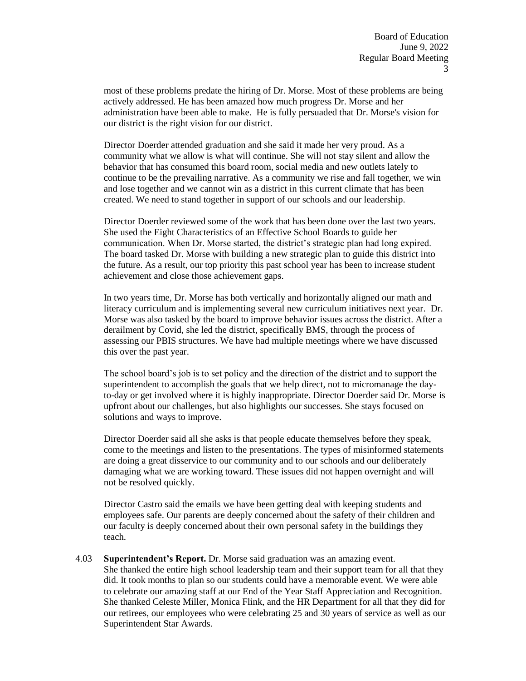most of these problems predate the hiring of Dr. Morse. Most of these problems are being actively addressed. He has been amazed how much progress Dr. Morse and her administration have been able to make. He is fully persuaded that Dr. Morse's vision for our district is the right vision for our district.

Director Doerder attended graduation and she said it made her very proud. As a community what we allow is what will continue. She will not stay silent and allow the behavior that has consumed this board room, social media and new outlets lately to continue to be the prevailing narrative. As a community we rise and fall together, we win and lose together and we cannot win as a district in this current climate that has been created. We need to stand together in support of our schools and our leadership.

Director Doerder reviewed some of the work that has been done over the last two years. She used the Eight Characteristics of an Effective School Boards to guide her communication. When Dr. Morse started, the district's strategic plan had long expired. The board tasked Dr. Morse with building a new strategic plan to guide this district into the future. As a result, our top priority this past school year has been to increase student achievement and close those achievement gaps.

In two years time, Dr. Morse has both vertically and horizontally aligned our math and literacy curriculum and is implementing several new curriculum initiatives next year. Dr. Morse was also tasked by the board to improve behavior issues across the district. After a derailment by Covid, she led the district, specifically BMS, through the process of assessing our PBIS structures. We have had multiple meetings where we have discussed this over the past year.

The school board's job is to set policy and the direction of the district and to support the superintendent to accomplish the goals that we help direct, not to micromanage the dayto-day or get involved where it is highly inappropriate. Director Doerder said Dr. Morse is upfront about our challenges, but also highlights our successes. She stays focused on solutions and ways to improve.

Director Doerder said all she asks is that people educate themselves before they speak, come to the meetings and listen to the presentations. The types of misinformed statements are doing a great disservice to our community and to our schools and our deliberately damaging what we are working toward. These issues did not happen overnight and will not be resolved quickly.

Director Castro said the emails we have been getting deal with keeping students and employees safe. Our parents are deeply concerned about the safety of their children and our faculty is deeply concerned about their own personal safety in the buildings they teach.

4.03 **Superintendent's Report.** Dr. Morse said graduation was an amazing event. She thanked the entire high school leadership team and their support team for all that they did. It took months to plan so our students could have a memorable event. We were able to celebrate our amazing staff at our End of the Year Staff Appreciation and Recognition. She thanked Celeste Miller, Monica Flink, and the HR Department for all that they did for our retirees, our employees who were celebrating 25 and 30 years of service as well as our Superintendent Star Awards.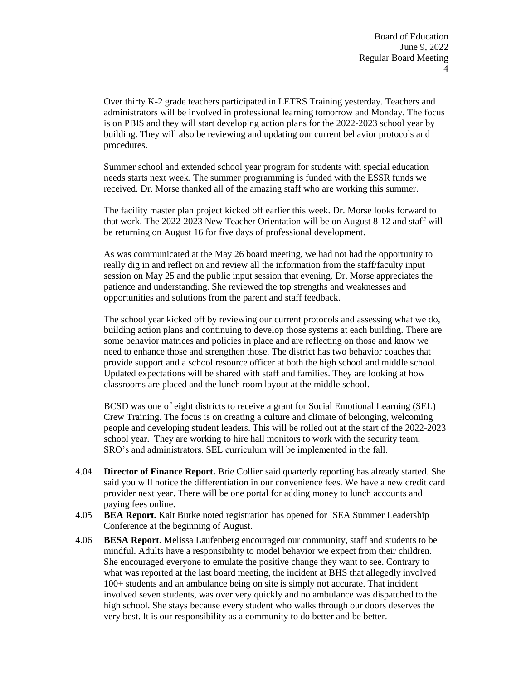Over thirty K-2 grade teachers participated in LETRS Training yesterday. Teachers and administrators will be involved in professional learning tomorrow and Monday. The focus is on PBIS and they will start developing action plans for the 2022-2023 school year by building. They will also be reviewing and updating our current behavior protocols and procedures.

Summer school and extended school year program for students with special education needs starts next week. The summer programming is funded with the ESSR funds we received. Dr. Morse thanked all of the amazing staff who are working this summer.

The facility master plan project kicked off earlier this week. Dr. Morse looks forward to that work. The 2022-2023 New Teacher Orientation will be on August 8-12 and staff will be returning on August 16 for five days of professional development.

As was communicated at the May 26 board meeting, we had not had the opportunity to really dig in and reflect on and review all the information from the staff/faculty input session on May 25 and the public input session that evening. Dr. Morse appreciates the patience and understanding. She reviewed the top strengths and weaknesses and opportunities and solutions from the parent and staff feedback.

The school year kicked off by reviewing our current protocols and assessing what we do, building action plans and continuing to develop those systems at each building. There are some behavior matrices and policies in place and are reflecting on those and know we need to enhance those and strengthen those. The district has two behavior coaches that provide support and a school resource officer at both the high school and middle school. Updated expectations will be shared with staff and families. They are looking at how classrooms are placed and the lunch room layout at the middle school.

BCSD was one of eight districts to receive a grant for Social Emotional Learning (SEL) Crew Training. The focus is on creating a culture and climate of belonging, welcoming people and developing student leaders. This will be rolled out at the start of the 2022-2023 school year. They are working to hire hall monitors to work with the security team, SRO's and administrators. SEL curriculum will be implemented in the fall.

- 4.04 **Director of Finance Report.** Brie Collier said quarterly reporting has already started. She said you will notice the differentiation in our convenience fees. We have a new credit card provider next year. There will be one portal for adding money to lunch accounts and paying fees online.
- 4.05 **BEA Report.** Kait Burke noted registration has opened for ISEA Summer Leadership Conference at the beginning of August.
- 4.06 **BESA Report.** Melissa Laufenberg encouraged our community, staff and students to be mindful. Adults have a responsibility to model behavior we expect from their children. She encouraged everyone to emulate the positive change they want to see. Contrary to what was reported at the last board meeting, the incident at BHS that allegedly involved 100+ students and an ambulance being on site is simply not accurate. That incident involved seven students, was over very quickly and no ambulance was dispatched to the high school. She stays because every student who walks through our doors deserves the very best. It is our responsibility as a community to do better and be better.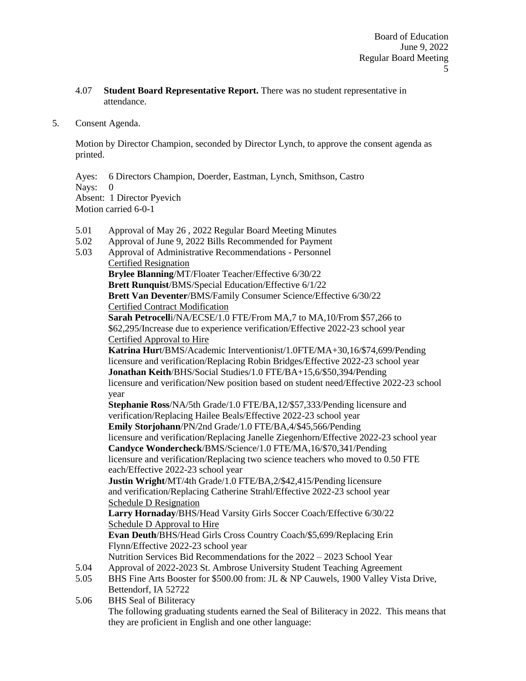- 4.07 **Student Board Representative Report.** There was no student representative in attendance.
- 5. Consent Agenda.

5.04

Motion by Director Champion, seconded by Director Lynch, to approve the consent agenda as printed.

Ayes: 6 Directors Champion, Doerder, Eastman, Lynch, Smithson, Castro Nays: 0 Absent: 1 Director Pyevich Motion carried 6-0-1

- 5.01 Approval of May 26 , 2022 Regular Board Meeting Minutes
- 5.02 Approval of June 9, 2022 Bills Recommended for Payment
- 5.03 Approval of Administrative Recommendations - Personnel Certified Resignation **Brylee Blanning**/MT/Floater Teacher/Effective 6/30/22 **Brett Runquist**/BMS/Special Education/Effective 6/1/22 **Brett Van Deventer**/BMS/Family Consumer Science/Effective 6/30/22 Certified Contract Modification **Sarah Petrocell**i/NA/ECSE/1.0 FTE/From MA,7 to MA,10/From \$57,266 to \$62,295/Increase due to experience verification/Effective 2022-23 school year Certified Approval to Hire **Katrina Hur**t/BMS/Academic Interventionist/1.0FTE/MA+30,16/\$74,699/Pending licensure and verification/Replacing Robin Bridges/Effective 2022-23 school year **Jonathan Keith**/BHS/Social Studies/1.0 FTE/BA+15,6/\$50,394/Pending licensure and verification/New position based on student need/Effective 2022-23 school year **Stephanie Ross**/NA/5th Grade/1.0 FTE/BA,12/\$57,333/Pending licensure and verification/Replacing Hailee Beals/Effective 2022-23 school year **Emily Storjohann**/PN/2nd Grade/1.0 FTE/BA,4/\$45,566/Pending licensure and verification/Replacing Janelle Ziegenhorn/Effective 2022-23 school year **Candyce Wondercheck**/BMS/Science/1.0 FTE/MA,16/\$70,341/Pending licensure and verification/Replacing two science teachers who moved to 0.50 FTE

each/Effective 2022-23 school year **Justin Wright**/MT/4th Grade/1.0 FTE/BA,2/\$42,415/Pending licensure

and verification/Replacing Catherine Strahl/Effective 2022-23 school year Schedule D Resignation

**Larry Hornaday**/BHS/Head Varsity Girls Soccer Coach/Effective 6/30/22 Schedule D Approval to Hire

**Evan Deuth**/BHS/Head Girls Cross Country Coach/\$5,699/Replacing Erin Flynn/Effective 2022-23 school year

Nutrition Services Bid Recommendations for the 2022 – 2023 School Year Approval of 2022-2023 St. Ambrose University Student Teaching Agreement

- 5.05 BHS Fine Arts Booster for \$500.00 from: JL & NP Cauwels, 1900 Valley Vista Drive, Bettendorf, IA 52722
- 5.06 BHS Seal of Biliteracy The following graduating students earned the Seal of Biliteracy in 2022. This means that they are proficient in English and one other language: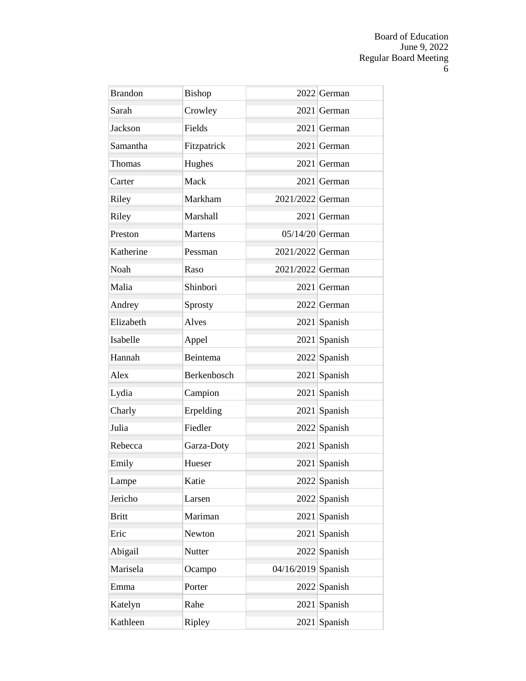| <b>Brandon</b> | Bishop         |                      | $2022$ German  |
|----------------|----------------|----------------------|----------------|
| Sarah          | Crowley        |                      | 2021 German    |
| Jackson        | Fields         |                      | 2021 German    |
| Samantha       | Fitzpatrick    |                      | 2021 German    |
| <b>Thomas</b>  | Hughes         |                      | 2021 German    |
| Carter         | Mack           |                      | 2021 German    |
| Riley          | Markham        | 2021/2022 German     |                |
| Riley          | Marshall       |                      | 2021 German    |
| Preston        | <b>Martens</b> | $05/14/20$ German    |                |
| Katherine      | Pessman        | 2021/2022 German     |                |
| <b>Noah</b>    | Raso           | 2021/2022 German     |                |
| Malia          | Shinbori       |                      | 2021 German    |
| Andrey         | Sprosty        |                      | 2022 German    |
| Elizabeth      | Alves          |                      | 2021 Spanish   |
| Isabelle       | Appel          |                      | $2021$ Spanish |
| Hannah         | Beintema       |                      | $2022$ Spanish |
| Alex           | Berkenbosch    |                      | $2021$ Spanish |
| Lydia          | Campion        |                      | 2021 Spanish   |
| Charly         | Erpelding      |                      | 2021 Spanish   |
| Julia          | Fiedler        |                      | $2022$ Spanish |
| Rebecca        | Garza-Doty     |                      | 2021 Spanish   |
| Emily          | Hueser         |                      | 2021 Spanish   |
| Lampe          | Katie          |                      | $2022$ Spanish |
| Jericho        | Larsen         |                      | $2022$ Spanish |
| <b>Britt</b>   | Mariman        |                      | $2021$ Spanish |
| Eric           | Newton         |                      | $2021$ Spanish |
| Abigail        | Nutter         |                      | $2022$ Spanish |
| Marisela       | Ocampo         | $04/16/2019$ Spanish |                |
| Emma           | Porter         |                      | $2022$ Spanish |
| Katelyn        | Rahe           |                      | $2021$ Spanish |
| Kathleen       | Ripley         |                      | $2021$ Spanish |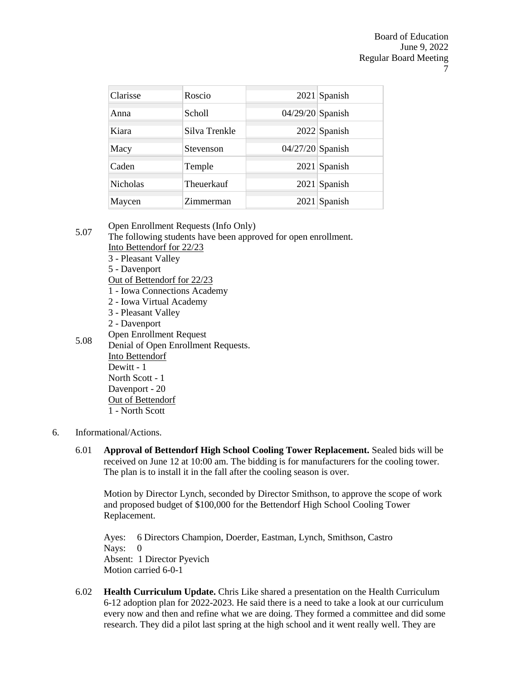| Clarisse        | Roscio        |                    | $2021$ Spanish |
|-----------------|---------------|--------------------|----------------|
| Anna            | <b>Scholl</b> | $04/29/20$ Spanish |                |
| Kiara           | Silva Trenkle |                    | $2022$ Spanish |
| Macy            | Stevenson     | $04/27/20$ Spanish |                |
| Caden           | Temple        |                    | 2021 Spanish   |
| <b>Nicholas</b> | Theuerkauf    |                    | $2021$ Spanish |
| Maycen          | Zimmerman     |                    | $2021$ Spanish |

5.07 Open Enrollment Requests (Info Only)

The following students have been approved for open enrollment. Into Bettendorf for 22/23

- 3 Pleasant Valley
- 5 Davenport
- Out of Bettendorf for 22/23
- 1 Iowa Connections Academy
- 2 Iowa Virtual Academy
- 3 Pleasant Valley
- 2 Davenport
- Open Enrollment Request
- 5.08 Denial of Open Enrollment Requests. Into Bettendorf Dewitt - 1 North Scott - 1 Davenport - 20 Out of Bettendorf 1 - North Scott
- 6. Informational/Actions.
	- 6.01 **Approval of Bettendorf High School Cooling Tower Replacement.** Sealed bids will be received on June 12 at 10:00 am. The bidding is for manufacturers for the cooling tower. The plan is to install it in the fall after the cooling season is over.

Motion by Director Lynch, seconded by Director Smithson, to approve the scope of work and proposed budget of \$100,000 for the Bettendorf High School Cooling Tower Replacement.

Ayes: 6 Directors Champion, Doerder, Eastman, Lynch, Smithson, Castro Nays: 0 Absent: 1 Director Pyevich Motion carried 6-0-1

6.02 **Health Curriculum Update.** Chris Like shared a presentation on the Health Curriculum 6-12 adoption plan for 2022-2023. He said there is a need to take a look at our curriculum every now and then and refine what we are doing. They formed a committee and did some research. They did a pilot last spring at the high school and it went really well. They are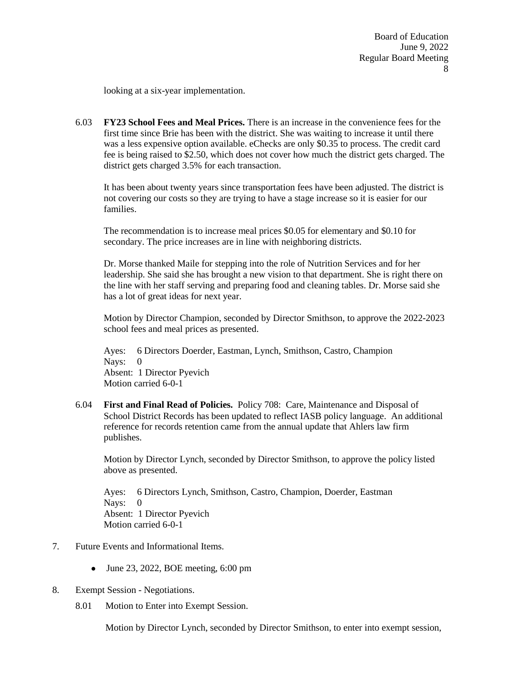looking at a six-year implementation.

6.03 **FY23 School Fees and Meal Prices.** There is an increase in the convenience fees for the first time since Brie has been with the district. She was waiting to increase it until there was a less expensive option available. eChecks are only \$0.35 to process. The credit card fee is being raised to \$2.50, which does not cover how much the district gets charged. The district gets charged 3.5% for each transaction.

It has been about twenty years since transportation fees have been adjusted. The district is not covering our costs so they are trying to have a stage increase so it is easier for our families.

The recommendation is to increase meal prices \$0.05 for elementary and \$0.10 for secondary. The price increases are in line with neighboring districts.

Dr. Morse thanked Maile for stepping into the role of Nutrition Services and for her leadership. She said she has brought a new vision to that department. She is right there on the line with her staff serving and preparing food and cleaning tables. Dr. Morse said she has a lot of great ideas for next year.

Motion by Director Champion, seconded by Director Smithson, to approve the 2022-2023 school fees and meal prices as presented.

Ayes: 6 Directors Doerder, Eastman, Lynch, Smithson, Castro, Champion Nays: 0 Absent: 1 Director Pyevich Motion carried 6-0-1

6.04 **First and Final Read of Policies.** Policy 708: Care, Maintenance and Disposal of School District Records has been updated to reflect IASB policy language. An additional reference for records retention came from the annual update that Ahlers law firm publishes.

Motion by Director Lynch, seconded by Director Smithson, to approve the policy listed above as presented.

Ayes: 6 Directors Lynch, Smithson, Castro, Champion, Doerder, Eastman Nays: 0 Absent: 1 Director Pyevich Motion carried 6-0-1

- 7. Future Events and Informational Items.
	- $\bullet$  June 23, 2022, BOE meeting, 6:00 pm
- 8. Exempt Session Negotiations.
	- 8.01 Motion to Enter into Exempt Session.

Motion by Director Lynch, seconded by Director Smithson, to enter into exempt session,